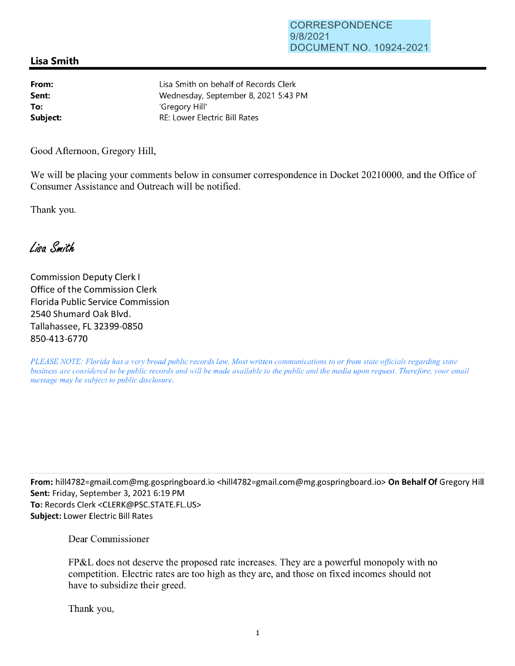## **Lisa Smith**

**From: Sent: To:** 

Lisa Smith on behalf of Records Clerk Wednesday, September 8, 2021 5:43 PM 'Gregory Hill' **Subject:** RE: Lower Electric Bill Rates

Good Afternoon, Gregory Hill,

We will be placing your comments below in consumer correspondence in Docket 20210000, and the Office of Consumer Assistance and Outreach will be notified.

Thank you.

Lisa Smith

Commission Deputy Clerk I Office of the Commission Clerk Florida Public Service Commission 2540 Shumard Oak Blvd. Tallahassee, FL 32399-0850 850-413-6770

*PLEASE NOTE: Florida has a very broad public records law. Most written communications to or from state officials regarding state business are considered to be public records and will be made available to the public and the media upon request. Therefore, your email message may be subject to public disclosure.* 

**From:** hill4782=gmai1.com@mg.gospringboard.io <hill4782=gmail.com@mg.gospringboard.io> **On Behalf Of** Gregory Hill **Sent:** Friday, September 3, 2021 6:19 PM **To:** Records Clerk <CLERK@PSC.STATE.FL.US> **Subject:** Lower Electric Bill Rates

Dear Commissioner

FP&L does not deserve the proposed rate increases. They are a powerful monopoly with no competition. Electric rates are too high as they are, and those on fixed incomes should not have to subsidize their greed.

Thank you,